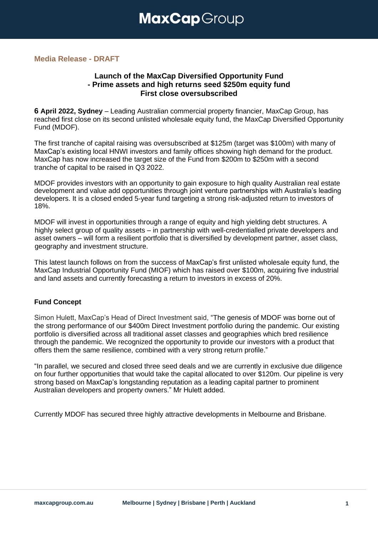## **Media Release - DRAFT**

# **Launch of the MaxCap Diversified Opportunity Fund - Prime assets and high returns seed \$250m equity fund First close oversubscribed**

**6 April 2022, Sydney** – Leading Australian commercial property financier, MaxCap Group, has reached first close on its second unlisted wholesale equity fund, the MaxCap Diversified Opportunity Fund (MDOF).

The first tranche of capital raising was oversubscribed at \$125m (target was \$100m) with many of MaxCap's existing local HNWI investors and family offices showing high demand for the product. MaxCap has now increased the target size of the Fund from \$200m to \$250m with a second tranche of capital to be raised in Q3 2022.

MDOF provides investors with an opportunity to gain exposure to high quality Australian real estate development and value add opportunities through joint venture partnerships with Australia's leading developers. It is a closed ended 5-year fund targeting a strong risk-adjusted return to investors of 18%.

MDOF will invest in opportunities through a range of equity and high yielding debt structures. A highly select group of quality assets – in partnership with well-credentialled private developers and asset owners – will form a resilient portfolio that is diversified by development partner, asset class, geography and investment structure.

This latest launch follows on from the success of MaxCap's first unlisted wholesale equity fund, the MaxCap Industrial Opportunity Fund (MIOF) which has raised over \$100m, acquiring five industrial and land assets and currently forecasting a return to investors in excess of 20%.

### **Fund Concept**

Simon Hulett, MaxCap's Head of Direct Investment said, "The genesis of MDOF was borne out of the strong performance of our \$400m Direct Investment portfolio during the pandemic. Our existing portfolio is diversified across all traditional asset classes and geographies which bred resilience through the pandemic. We recognized the opportunity to provide our investors with a product that offers them the same resilience, combined with a very strong return profile."

"In parallel, we secured and closed three seed deals and we are currently in exclusive due diligence on four further opportunities that would take the capital allocated to over \$120m. Our pipeline is very strong based on MaxCap's longstanding reputation as a leading capital partner to prominent Australian developers and property owners." Mr Hulett added.

Currently MDOF has secured three highly attractive developments in Melbourne and Brisbane.